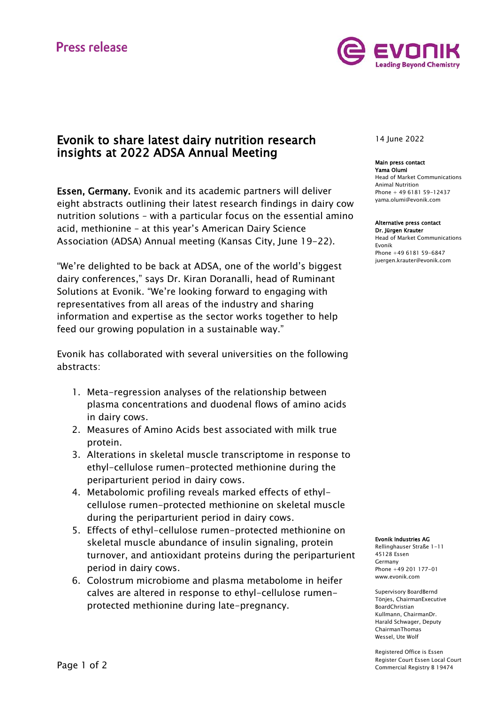# **Press release**



## Evonik to share latest dairy nutrition research insights at 2022 ADSA Annual Meeting

Essen, Germany. Evonik and its academic partners will deliver eight abstracts outlining their latest research findings in dairy cow nutrition solutions – with a particular focus on the essential amino acid, methionine – at this year's American Dairy Science Association (ADSA) Annual meeting (Kansas City, June 19-22).

"We're delighted to be back at ADSA, one of the world's biggest dairy conferences," says Dr. Kiran Doranalli, head of Ruminant Solutions at Evonik. "We're looking forward to engaging with representatives from all areas of the industry and sharing information and expertise as the sector works together to help feed our growing population in a sustainable way."

Evonik has collaborated with several universities on the following abstracts:

- 1. Meta-regression analyses of the relationship between plasma concentrations and duodenal flows of amino acids in dairy cows.
- 2. Measures of Amino Acids best associated with milk true protein.
- 3. Alterations in skeletal muscle transcriptome in response to ethyl-cellulose rumen-protected methionine during the periparturient period in dairy cows.
- 4. Metabolomic profiling reveals marked effects of ethylcellulose rumen-protected methionine on skeletal muscle during the periparturient period in dairy cows.
- 5. Effects of ethyl-cellulose rumen-protected methionine on skeletal muscle abundance of insulin signaling, protein turnover, and antioxidant proteins during the periparturient period in dairy cows.
- 6. Colostrum microbiome and plasma metabolome in heifer calves are altered in response to ethyl-cellulose rumenprotected methionine during late-pregnancy.

14 June 2022

## Main press contact

Yama Olumi Head of Market Communications Animal Nutrition Phone + 49 6181 59-12437 [yama.olumi@evonik.com](mailto:yama.olumi@evonik.com)

## Alternative press contact

Dr. Jürgen Krauter Head of Market Communications Evonik Phone +49 6181 59-6847 [juergen.krauter@evonik.com](mailto:juergen.krauter@evonik.com)

#### Evonik Industries AG

Rellinghauser Straße 1-11 45128 Essen Germany Phone +49 201 177-01 www.evonik.com

Supervisory BoardBernd Tönjes, ChairmanExecutive BoardChristian Kullmann, ChairmanDr. Harald Schwager, Deputy ChairmanThomas Wessel, Ute Wolf

Registered Office is Essen Register Court Essen Local Court Commercial Registry B 19474